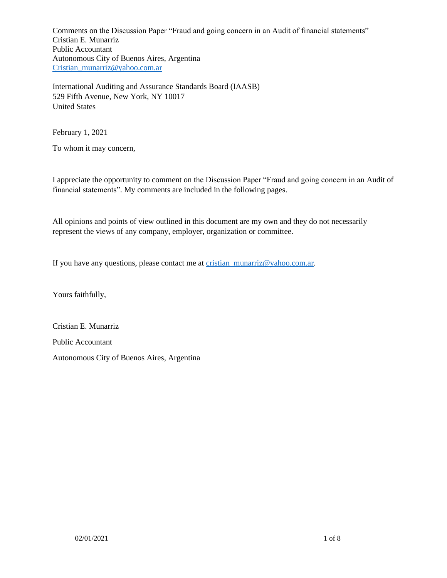International Auditing and Assurance Standards Board (IAASB) 529 Fifth Avenue, New York, NY 10017 United States

February 1, 2021

To whom it may concern,

I appreciate the opportunity to comment on the Discussion Paper "Fraud and going concern in an Audit of financial statements". My comments are included in the following pages.

All opinions and points of view outlined in this document are my own and they do not necessarily represent the views of any company, employer, organization or committee.

If you have any questions, please contact me at [cristian\\_munarriz@yahoo.com.ar.](mailto:cristian_munarriz@yahoo.com.ar)

Yours faithfully,

Cristian E. Munarriz Public Accountant Autonomous City of Buenos Aires, Argentina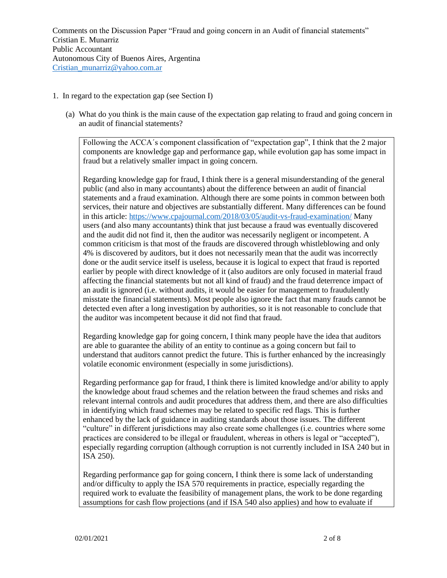## 1. In regard to the expectation gap (see Section I)

(a) What do you think is the main cause of the expectation gap relating to fraud and going concern in an audit of financial statements?

Following the ACCA´s component classification of "expectation gap", I think that the 2 major components are knowledge gap and performance gap, while evolution gap has some impact in fraud but a relatively smaller impact in going concern.

Regarding knowledge gap for fraud, I think there is a general misunderstanding of the general public (and also in many accountants) about the difference between an audit of financial statements and a fraud examination. Although there are some points in common between both services, their nature and objectives are substantially different. Many differences can be found in this article:<https://www.cpajournal.com/2018/03/05/audit-vs-fraud-examination/> Many users (and also many accountants) think that just because a fraud was eventually discovered and the audit did not find it, then the auditor was necessarily negligent or incompetent. A common criticism is that most of the frauds are discovered through whistleblowing and only 4% is discovered by auditors, but it does not necessarily mean that the audit was incorrectly done or the audit service itself is useless, because it is logical to expect that fraud is reported earlier by people with direct knowledge of it (also auditors are only focused in material fraud affecting the financial statements but not all kind of fraud) and the fraud deterrence impact of an audit is ignored (i.e. without audits, it would be easier for management to fraudulently misstate the financial statements). Most people also ignore the fact that many frauds cannot be detected even after a long investigation by authorities, so it is not reasonable to conclude that the auditor was incompetent because it did not find that fraud.

Regarding knowledge gap for going concern, I think many people have the idea that auditors are able to guarantee the ability of an entity to continue as a going concern but fail to understand that auditors cannot predict the future. This is further enhanced by the increasingly volatile economic environment (especially in some jurisdictions).

Regarding performance gap for fraud, I think there is limited knowledge and/or ability to apply the knowledge about fraud schemes and the relation between the fraud schemes and risks and relevant internal controls and audit procedures that address them, and there are also difficulties in identifying which fraud schemes may be related to specific red flags. This is further enhanced by the lack of guidance in auditing standards about those issues. The different "culture" in different jurisdictions may also create some challenges (i.e. countries where some practices are considered to be illegal or fraudulent, whereas in others is legal or "accepted"), especially regarding corruption (although corruption is not currently included in ISA 240 but in ISA 250).

Regarding performance gap for going concern, I think there is some lack of understanding and/or difficulty to apply the ISA 570 requirements in practice, especially regarding the required work to evaluate the feasibility of management plans, the work to be done regarding assumptions for cash flow projections (and if ISA 540 also applies) and how to evaluate if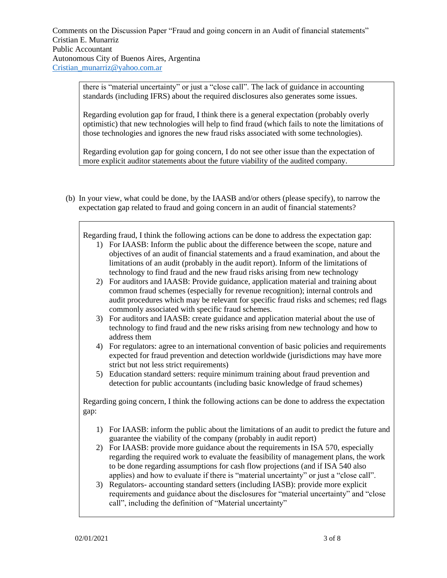there is "material uncertainty" or just a "close call". The lack of guidance in accounting standards (including IFRS) about the required disclosures also generates some issues.

Regarding evolution gap for fraud, I think there is a general expectation (probably overly optimistic) that new technologies will help to find fraud (which fails to note the limitations of those technologies and ignores the new fraud risks associated with some technologies).

Regarding evolution gap for going concern, I do not see other issue than the expectation of more explicit auditor statements about the future viability of the audited company.

(b) In your view, what could be done, by the IAASB and/or others (please specify), to narrow the expectation gap related to fraud and going concern in an audit of financial statements?

Regarding fraud, I think the following actions can be done to address the expectation gap:

- 1) For IAASB: Inform the public about the difference between the scope, nature and objectives of an audit of financial statements and a fraud examination, and about the limitations of an audit (probably in the audit report). Inform of the limitations of technology to find fraud and the new fraud risks arising from new technology
- 2) For auditors and IAASB: Provide guidance, application material and training about common fraud schemes (especially for revenue recognition); internal controls and audit procedures which may be relevant for specific fraud risks and schemes; red flags commonly associated with specific fraud schemes.
- 3) For auditors and IAASB: create guidance and application material about the use of technology to find fraud and the new risks arising from new technology and how to address them
- 4) For regulators: agree to an international convention of basic policies and requirements expected for fraud prevention and detection worldwide (jurisdictions may have more strict but not less strict requirements)
- 5) Education standard setters: require minimum training about fraud prevention and detection for public accountants (including basic knowledge of fraud schemes)

Regarding going concern, I think the following actions can be done to address the expectation gap:

- 1) For IAASB: inform the public about the limitations of an audit to predict the future and guarantee the viability of the company (probably in audit report)
- 2) For IAASB: provide more guidance about the requirements in ISA 570, especially regarding the required work to evaluate the feasibility of management plans, the work to be done regarding assumptions for cash flow projections (and if ISA 540 also applies) and how to evaluate if there is "material uncertainty" or just a "close call".
- 3) Regulators- accounting standard setters (including IASB): provide more explicit requirements and guidance about the disclosures for "material uncertainty" and "close call", including the definition of "Material uncertainty"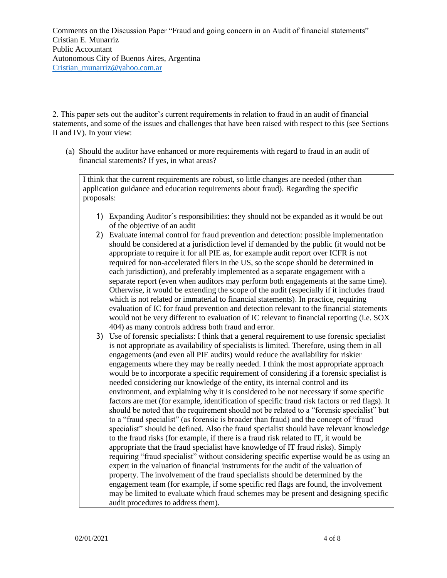2. This paper sets out the auditor's current requirements in relation to fraud in an audit of financial statements, and some of the issues and challenges that have been raised with respect to this (see Sections II and IV). In your view:

(a) Should the auditor have enhanced or more requirements with regard to fraud in an audit of financial statements? If yes, in what areas?

I think that the current requirements are robust, so little changes are needed (other than application guidance and education requirements about fraud). Regarding the specific proposals:

- 1) Expanding Auditor´s responsibilities: they should not be expanded as it would be out of the objective of an audit
- 2) Evaluate internal control for fraud prevention and detection: possible implementation should be considered at a jurisdiction level if demanded by the public (it would not be appropriate to require it for all PIE as, for example audit report over ICFR is not required for non-accelerated filers in the US, so the scope should be determined in each jurisdiction), and preferably implemented as a separate engagement with a separate report (even when auditors may perform both engagements at the same time). Otherwise, it would be extending the scope of the audit (especially if it includes fraud which is not related or immaterial to financial statements). In practice, requiring evaluation of IC for fraud prevention and detection relevant to the financial statements would not be very different to evaluation of IC relevant to financial reporting (i.e. SOX 404) as many controls address both fraud and error.
- 3) Use of forensic specialists: I think that a general requirement to use forensic specialist is not appropriate as availability of specialists is limited. Therefore, using them in all engagements (and even all PIE audits) would reduce the availability for riskier engagements where they may be really needed. I think the most appropriate approach would be to incorporate a specific requirement of considering if a forensic specialist is needed considering our knowledge of the entity, its internal control and its environment, and explaining why it is considered to be not necessary if some specific factors are met (for example, identification of specific fraud risk factors or red flags). It should be noted that the requirement should not be related to a "forensic specialist" but to a "fraud specialist" (as forensic is broader than fraud) and the concept of "fraud specialist" should be defined. Also the fraud specialist should have relevant knowledge to the fraud risks (for example, if there is a fraud risk related to IT, it would be appropriate that the fraud specialist have knowledge of IT fraud risks). Simply requiring "fraud specialist" without considering specific expertise would be as using an expert in the valuation of financial instruments for the audit of the valuation of property. The involvement of the fraud specialists should be determined by the engagement team (for example, if some specific red flags are found, the involvement may be limited to evaluate which fraud schemes may be present and designing specific audit procedures to address them).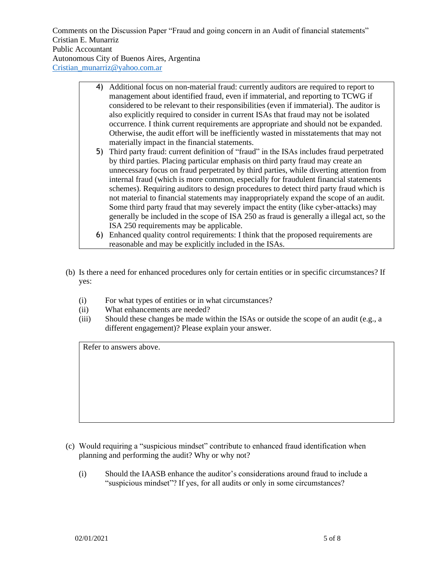- 4) Additional focus on non-material fraud: currently auditors are required to report to management about identified fraud, even if immaterial, and reporting to TCWG if considered to be relevant to their responsibilities (even if immaterial). The auditor is also explicitly required to consider in current ISAs that fraud may not be isolated occurrence. I think current requirements are appropriate and should not be expanded. Otherwise, the audit effort will be inefficiently wasted in misstatements that may not materially impact in the financial statements.
- 5) Third party fraud: current definition of "fraud" in the ISAs includes fraud perpetrated by third parties. Placing particular emphasis on third party fraud may create an unnecessary focus on fraud perpetrated by third parties, while diverting attention from internal fraud (which is more common, especially for fraudulent financial statements schemes). Requiring auditors to design procedures to detect third party fraud which is not material to financial statements may inappropriately expand the scope of an audit. Some third party fraud that may severely impact the entity (like cyber-attacks) may generally be included in the scope of ISA 250 as fraud is generally a illegal act, so the ISA 250 requirements may be applicable.
- 6) Enhanced quality control requirements: I think that the proposed requirements are reasonable and may be explicitly included in the ISAs.
- (b) Is there a need for enhanced procedures only for certain entities or in specific circumstances? If yes:
	- (i) For what types of entities or in what circumstances?
	- (ii) What enhancements are needed?
	- (iii) Should these changes be made within the ISAs or outside the scope of an audit (e.g., a different engagement)? Please explain your answer.

Refer to answers above.

- (c) Would requiring a "suspicious mindset" contribute to enhanced fraud identification when planning and performing the audit? Why or why not?
	- (i) Should the IAASB enhance the auditor's considerations around fraud to include a "suspicious mindset"? If yes, for all audits or only in some circumstances?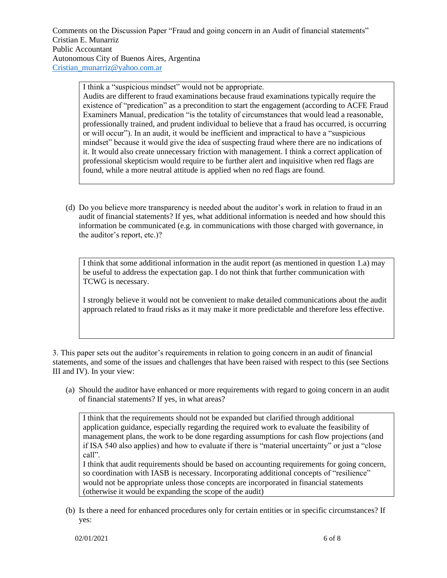I think a "suspicious mindset" would not be appropriate. Audits are different to fraud examinations because fraud examinations typically require the existence of "predication" as a precondition to start the engagement (according to ACFE Fraud Examiners Manual, predication "is the totality of circumstances that would lead a reasonable, professionally trained, and prudent individual to believe that a fraud has occurred, is occurring or will occur"). In an audit, it would be inefficient and impractical to have a "suspicious mindset" because it would give the idea of suspecting fraud where there are no indications of it. It would also create unnecessary friction with management. I think a correct application of professional skepticism would require to be further alert and inquisitive when red flags are found, while a more neutral attitude is applied when no red flags are found.

(d) Do you believe more transparency is needed about the auditor's work in relation to fraud in an audit of financial statements? If yes, what additional information is needed and how should this information be communicated (e.g. in communications with those charged with governance, in the auditor's report, etc.)?

I think that some additional information in the audit report (as mentioned in question 1.a) may be useful to address the expectation gap. I do not think that further communication with TCWG is necessary.

I strongly believe it would not be convenient to make detailed communications about the audit approach related to fraud risks as it may make it more predictable and therefore less effective.

3. This paper sets out the auditor's requirements in relation to going concern in an audit of financial statements, and some of the issues and challenges that have been raised with respect to this (see Sections III and IV). In your view:

(a) Should the auditor have enhanced or more requirements with regard to going concern in an audit of financial statements? If yes, in what areas?

I think that the requirements should not be expanded but clarified through additional application guidance, especially regarding the required work to evaluate the feasibility of management plans, the work to be done regarding assumptions for cash flow projections (and if ISA 540 also applies) and how to evaluate if there is "material uncertainty" or just a "close call".

I think that audit requirements should be based on accounting requirements for going concern, so coordination with IASB is necessary. Incorporating additional concepts of "resilience" would not be appropriate unless those concepts are incorporated in financial statements (otherwise it would be expanding the scope of the audit)

(b) Is there a need for enhanced procedures only for certain entities or in specific circumstances? If yes: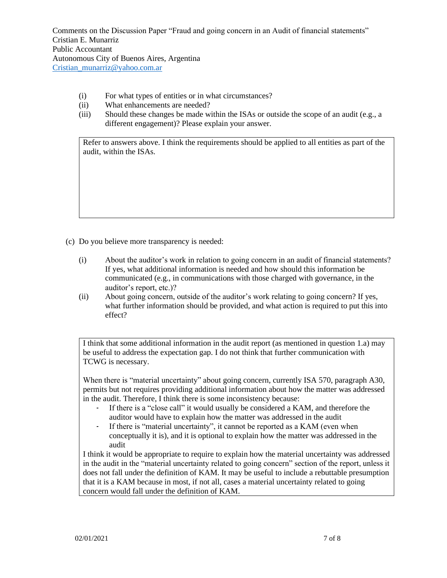- (i) For what types of entities or in what circumstances?
- (ii) What enhancements are needed?
- (iii) Should these changes be made within the ISAs or outside the scope of an audit (e.g., a different engagement)? Please explain your answer.

Refer to answers above. I think the requirements should be applied to all entities as part of the audit, within the ISAs.

- (c) Do you believe more transparency is needed:
	- (i) About the auditor's work in relation to going concern in an audit of financial statements? If yes, what additional information is needed and how should this information be communicated (e.g., in communications with those charged with governance, in the auditor's report, etc.)?
	- (ii) About going concern, outside of the auditor's work relating to going concern? If yes, what further information should be provided, and what action is required to put this into effect?

I think that some additional information in the audit report (as mentioned in question 1.a) may be useful to address the expectation gap. I do not think that further communication with TCWG is necessary.

When there is "material uncertainty" about going concern, currently ISA 570, paragraph A30, permits but not requires providing additional information about how the matter was addressed in the audit. Therefore, I think there is some inconsistency because:

- If there is a "close call" it would usually be considered a KAM, and therefore the auditor would have to explain how the matter was addressed in the audit
- If there is "material uncertainty", it cannot be reported as a KAM (even when conceptually it is), and it is optional to explain how the matter was addressed in the audit

I think it would be appropriate to require to explain how the material uncertainty was addressed in the audit in the "material uncertainty related to going concern" section of the report, unless it does not fall under the definition of KAM. It may be useful to include a rebuttable presumption that it is a KAM because in most, if not all, cases a material uncertainty related to going concern would fall under the definition of KAM.